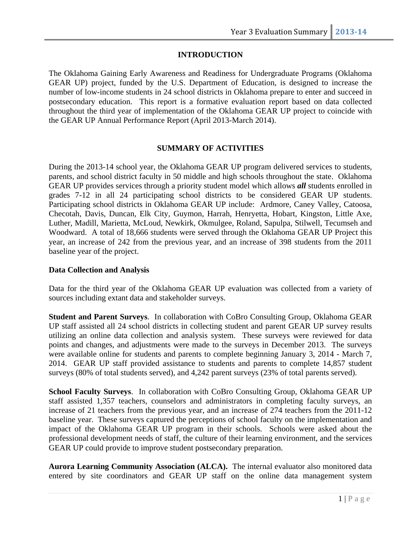## **INTRODUCTION**

The Oklahoma Gaining Early Awareness and Readiness for Undergraduate Programs (Oklahoma GEAR UP) project, funded by the U.S. Department of Education, is designed to increase the number of low-income students in 24 school districts in Oklahoma prepare to enter and succeed in postsecondary education. This report is a formative evaluation report based on data collected throughout the third year of implementation of the Oklahoma GEAR UP project to coincide with the GEAR UP Annual Performance Report (April 2013-March 2014).

#### **SUMMARY OF ACTIVITIES**

During the 2013-14 school year, the Oklahoma GEAR UP program delivered services to students, parents, and school district faculty in 50 middle and high schools throughout the state. Oklahoma GEAR UP provides services through a priority student model which allows *all* students enrolled in grades 7-12 in all 24 participating school districts to be considered GEAR UP students. Participating school districts in Oklahoma GEAR UP include: Ardmore, Caney Valley, Catoosa, Checotah, Davis, Duncan, Elk City, Guymon, Harrah, Henryetta, Hobart, Kingston, Little Axe, Luther, Madill, Marietta, McLoud, Newkirk, Okmulgee, Roland, Sapulpa, Stilwell, Tecumseh and Woodward. A total of 18,666 students were served through the Oklahoma GEAR UP Project this year, an increase of 242 from the previous year, and an increase of 398 students from the 2011 baseline year of the project.

#### **Data Collection and Analysis**

Data for the third year of the Oklahoma GEAR UP evaluation was collected from a variety of sources including extant data and stakeholder surveys.

**Student and Parent Surveys**. In collaboration with CoBro Consulting Group, Oklahoma GEAR UP staff assisted all 24 school districts in collecting student and parent GEAR UP survey results utilizing an online data collection and analysis system. These surveys were reviewed for data points and changes, and adjustments were made to the surveys in December 2013. The surveys were available online for students and parents to complete beginning January 3, 2014 - March 7, 2014. GEAR UP staff provided assistance to students and parents to complete 14,857 student surveys (80% of total students served), and 4,242 parent surveys (23% of total parents served).

**School Faculty Surveys**. In collaboration with CoBro Consulting Group, Oklahoma GEAR UP staff assisted 1,357 teachers, counselors and administrators in completing faculty surveys, an increase of 21 teachers from the previous year, and an increase of 274 teachers from the 2011-12 baseline year. These surveys captured the perceptions of school faculty on the implementation and impact of the Oklahoma GEAR UP program in their schools. Schools were asked about the professional development needs of staff, the culture of their learning environment, and the services GEAR UP could provide to improve student postsecondary preparation.

**Aurora Learning Community Association (ALCA).** The internal evaluator also monitored data entered by site coordinators and GEAR UP staff on the online data management system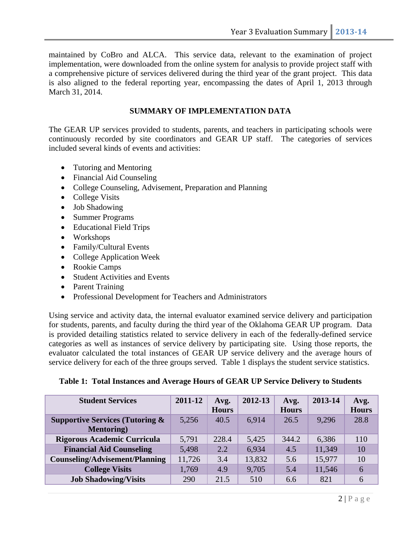maintained by CoBro and ALCA. This service data, relevant to the examination of project implementation, were downloaded from the online system for analysis to provide project staff with a comprehensive picture of services delivered during the third year of the grant project. This data is also aligned to the federal reporting year, encompassing the dates of April 1, 2013 through March 31, 2014.

### **SUMMARY OF IMPLEMENTATION DATA**

The GEAR UP services provided to students, parents, and teachers in participating schools were continuously recorded by site coordinators and GEAR UP staff. The categories of services included several kinds of events and activities:

- Tutoring and Mentoring
- Financial Aid Counseling
- College Counseling, Advisement, Preparation and Planning
- College Visits
- Job Shadowing
- Summer Programs
- Educational Field Trips
- Workshops
- Family/Cultural Events
- College Application Week
- Rookie Camps
- Student Activities and Events
- Parent Training
- Professional Development for Teachers and Administrators

Using service and activity data, the internal evaluator examined service delivery and participation for students, parents, and faculty during the third year of the Oklahoma GEAR UP program. Data is provided detailing statistics related to service delivery in each of the federally-defined service categories as well as instances of service delivery by participating site. Using those reports, the evaluator calculated the total instances of GEAR UP service delivery and the average hours of service delivery for each of the three groups served. Table 1 displays the student service statistics.

|  |  | Table 1: Total Instances and Average Hours of GEAR UP Service Delivery to Students |
|--|--|------------------------------------------------------------------------------------|
|  |  |                                                                                    |

| <b>Student Services</b>                                          | 2011-12 | Avg.<br><b>Hours</b> | 2012-13 | Avg.<br><b>Hours</b> | 2013-14 | Avg.<br><b>Hours</b> |
|------------------------------------------------------------------|---------|----------------------|---------|----------------------|---------|----------------------|
| <b>Supportive Services (Tutoring &amp;</b><br><b>Mentoring</b> ) | 5,256   | 40.5                 | 6,914   | 26.5                 | 9,296   | 28.8                 |
| <b>Rigorous Academic Curricula</b>                               | 5,791   | 228.4                | 5,425   | 344.2                | 6,386   | 110                  |
| <b>Financial Aid Counseling</b>                                  | 5,498   | 2.2                  | 6,934   | 4.5                  | 11,349  | 10                   |
| <b>Counseling/Advisement/Planning</b>                            | 11,726  | 3.4                  | 13,832  | 5.6                  | 15,977  | 10                   |
| <b>College Visits</b>                                            | 1,769   | 4.9                  | 9,705   | 5.4                  | 11,546  | 6                    |
| <b>Job Shadowing/Visits</b>                                      | 290     | 21.5                 | 510     | 6.6                  | 821     | 6                    |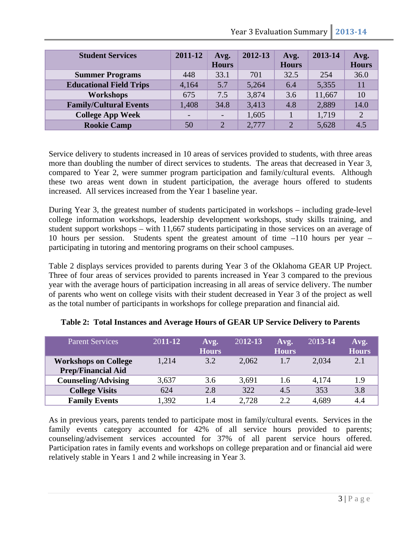| <b>Student Services</b>        | 2011-12                  | Avg.<br><b>Hours</b> | 2012-13 | Avg.<br><b>Hours</b> | 2013-14 | Avg.<br><b>Hours</b> |
|--------------------------------|--------------------------|----------------------|---------|----------------------|---------|----------------------|
| <b>Summer Programs</b>         | 448                      | 33.1                 | 701     | 32.5                 | 254     | 36.0                 |
| <b>Educational Field Trips</b> | 4,164                    | 5.7                  | 5,264   | 6.4                  | 5,355   |                      |
| <b>Workshops</b>               | 675                      | 7.5                  | 3,874   | 3.6                  | 11,667  | 10                   |
| <b>Family/Cultural Events</b>  | 1,408                    | 34.8                 | 3,413   | 4.8                  | 2,889   | 14.0                 |
| <b>College App Week</b>        | $\overline{\phantom{0}}$ |                      | 1,605   |                      | 1,719   | 2                    |
| <b>Rookie Camp</b>             | 50                       | $\overline{2}$       | 2,777   | $\mathcal{D}$        | 5,628   | 4.5                  |

Service delivery to students increased in 10 areas of services provided to students, with three areas more than doubling the number of direct services to students. The areas that decreased in Year 3, compared to Year 2, were summer program participation and family/cultural events. Although these two areas went down in student participation, the average hours offered to students increased. All services increased from the Year 1 baseline year.

During Year 3, the greatest number of students participated in workshops – including grade-level college information workshops, leadership development workshops, study skills training, and student support workshops – with 11,667 students participating in those services on an average of 10 hours per session. Students spent the greatest amount of time –110 hours per year – participating in tutoring and mentoring programs on their school campuses.

Table 2 displays services provided to parents during Year 3 of the Oklahoma GEAR UP Project. Three of four areas of services provided to parents increased in Year 3 compared to the previous year with the average hours of participation increasing in all areas of service delivery. The number of parents who went on college visits with their student decreased in Year 3 of the project as well as the total number of participants in workshops for college preparation and financial aid.

| <b>Parent Services</b>                                   | 2011-12 | Avg.<br><b>Hours</b> | $2012 - 13$ | Avg.<br><b>Hours</b> | 2013-14 | Avg.<br><b>Hours</b> |
|----------------------------------------------------------|---------|----------------------|-------------|----------------------|---------|----------------------|
| <b>Workshops on College</b><br><b>Prep/Financial Aid</b> | 1,214   | 3.2                  | 2,062       | 1.7                  | 2,034   | 2.1                  |
| <b>Counseling/Advising</b>                               | 3,637   | 3.6                  | 3,691       | 1.6                  | 4,174   | 1.9                  |
| <b>College Visits</b>                                    | 624     | 2.8                  | 322         | 4.5                  | 353     | 3.8                  |
| <b>Family Events</b>                                     | 1,392   | 1.4                  | 2,728       | 2.2                  | 4,689   | 4.4                  |

**Table 2: Total Instances and Average Hours of GEAR UP Service Delivery to Parents** 

As in previous years, parents tended to participate most in family/cultural events. Services in the family events category accounted for 42% of all service hours provided to parents; counseling/advisement services accounted for 37% of all parent service hours offered. Participation rates in family events and workshops on college preparation and or financial aid were relatively stable in Years 1 and 2 while increasing in Year 3.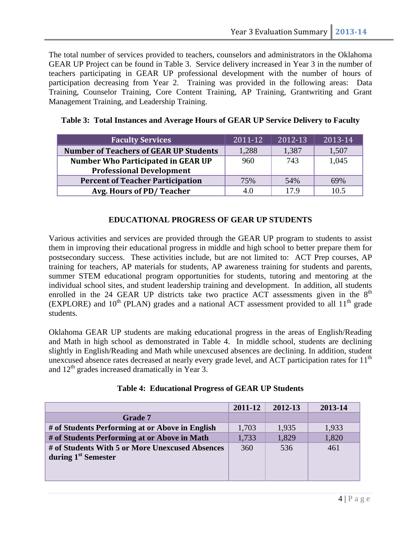The total number of services provided to teachers, counselors and administrators in the Oklahoma GEAR UP Project can be found in Table 3. Service delivery increased in Year 3 in the number of teachers participating in GEAR UP professional development with the number of hours of participation decreasing from Year 2. Training was provided in the following areas: Data Training, Counselor Training, Core Content Training, AP Training, Grantwriting and Grant Management Training, and Leadership Training.

| <b>Faculty Services</b>                       | 2011-12 | 2012-13 | 2013-14 |
|-----------------------------------------------|---------|---------|---------|
| <b>Number of Teachers of GEAR UP Students</b> | 1,288   | 1,387   | 1,507   |
| <b>Number Who Participated in GEAR UP</b>     | 960     | 743     | 1,045   |
| <b>Professional Development</b>               |         |         |         |
| <b>Percent of Teacher Participation</b>       | 75%     | 54%     | 69%     |
| Avg. Hours of PD/Teacher                      | 4.0     | 17.9    | 10.5    |

**Table 3: Total Instances and Average Hours of GEAR UP Service Delivery to Faculty**

## **EDUCATIONAL PROGRESS OF GEAR UP STUDENTS**

Various activities and services are provided through the GEAR UP program to students to assist them in improving their educational progress in middle and high school to better prepare them for postsecondary success. These activities include, but are not limited to: ACT Prep courses, AP training for teachers, AP materials for students, AP awareness training for students and parents, summer STEM educational program opportunities for students, tutoring and mentoring at the individual school sites, and student leadership training and development. In addition, all students enrolled in the 24 GEAR UP districts take two practice ACT assessments given in the  $8<sup>th</sup>$ (EXPLORE) and  $10<sup>th</sup>$  (PLAN) grades and a national ACT assessment provided to all  $11<sup>th</sup>$  grade students.

Oklahoma GEAR UP students are making educational progress in the areas of English/Reading and Math in high school as demonstrated in Table 4. In middle school, students are declining slightly in English/Reading and Math while unexcused absences are declining. In addition, student unexcused absence rates decreased at nearly every grade level, and ACT participation rates for  $11<sup>th</sup>$ and  $12<sup>th</sup>$  grades increased dramatically in Year 3.

|                                                                                    | 2011-12 | 2012-13 | 2013-14 |
|------------------------------------------------------------------------------------|---------|---------|---------|
| Grade 7                                                                            |         |         |         |
| # of Students Performing at or Above in English                                    | 1,703   | 1,935   | 1,933   |
| # of Students Performing at or Above in Math                                       | 1,733   | 1,829   | 1,820   |
| # of Students With 5 or More Unexcused Absences<br>during 1 <sup>st</sup> Semester | 360     | 536     | 461     |

#### **Table 4: Educational Progress of GEAR UP Students**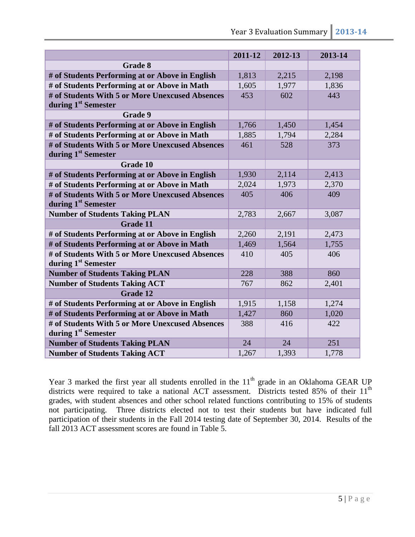|                                                 | 2011-12 | 2012-13 | 2013-14 |
|-------------------------------------------------|---------|---------|---------|
| <b>Grade 8</b>                                  |         |         |         |
| # of Students Performing at or Above in English | 1,813   | 2,215   | 2,198   |
| # of Students Performing at or Above in Math    | 1,605   | 1,977   | 1,836   |
| # of Students With 5 or More Unexcused Absences | 453     | 602     | 443     |
| during 1 <sup>st</sup> Semester                 |         |         |         |
| <b>Grade 9</b>                                  |         |         |         |
| # of Students Performing at or Above in English | 1,766   | 1,450   | 1,454   |
| # of Students Performing at or Above in Math    | 1,885   | 1,794   | 2,284   |
| # of Students With 5 or More Unexcused Absences | 461     | 528     | 373     |
| during 1 <sup>st</sup> Semester                 |         |         |         |
| <b>Grade 10</b>                                 |         |         |         |
| # of Students Performing at or Above in English | 1,930   | 2,114   | 2,413   |
| # of Students Performing at or Above in Math    | 2,024   | 1,973   | 2,370   |
| # of Students With 5 or More Unexcused Absences | 405     | 406     | 409     |
| during 1 <sup>st</sup> Semester                 |         |         |         |
| <b>Number of Students Taking PLAN</b>           | 2,783   | 2,667   | 3,087   |
| <b>Grade 11</b>                                 |         |         |         |
| # of Students Performing at or Above in English | 2,260   | 2,191   | 2,473   |
| # of Students Performing at or Above in Math    | 1,469   | 1,564   | 1,755   |
| # of Students With 5 or More Unexcused Absences | 410     | 405     | 406     |
| during 1 <sup>st</sup> Semester                 |         |         |         |
| <b>Number of Students Taking PLAN</b>           | 228     | 388     | 860     |
| <b>Number of Students Taking ACT</b>            | 767     | 862     | 2,401   |
| <b>Grade 12</b>                                 |         |         |         |
| # of Students Performing at or Above in English | 1,915   | 1,158   | 1,274   |
| # of Students Performing at or Above in Math    | 1,427   | 860     | 1,020   |
| # of Students With 5 or More Unexcused Absences | 388     | 416     | 422     |
| during 1 <sup>st</sup> Semester                 |         |         |         |
| <b>Number of Students Taking PLAN</b>           | 24      | 24      | 251     |
| <b>Number of Students Taking ACT</b>            | 1,267   | 1,393   | 1,778   |

Year 3 marked the first year all students enrolled in the  $11<sup>th</sup>$  grade in an Oklahoma GEAR UP districts were required to take a national ACT assessment. Districts tested 85% of their 11<sup>th</sup> grades, with student absences and other school related functions contributing to 15% of students not participating. Three districts elected not to test their students but have indicated full participation of their students in the Fall 2014 testing date of September 30, 2014. Results of the fall 2013 ACT assessment scores are found in Table 5.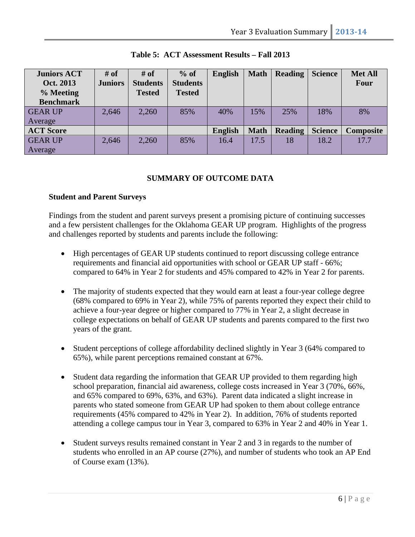| <b>Juniors ACT</b><br>Oct. 2013<br>% Meeting<br><b>Benchmark</b> | $#$ of<br><b>Juniors</b> | # of<br><b>Students</b><br><b>Tested</b> | $%$ of<br><b>Students</b><br><b>Tested</b> | <b>English</b> | <b>Math</b> | <b>Reading</b> | <b>Science</b> | <b>Met All</b><br><b>Four</b> |
|------------------------------------------------------------------|--------------------------|------------------------------------------|--------------------------------------------|----------------|-------------|----------------|----------------|-------------------------------|
| <b>GEAR UP</b>                                                   | 2,646                    | 2,260                                    | 85%                                        | 40%            | 15%         | 25%            | 18%            | 8%                            |
| Average                                                          |                          |                                          |                                            |                |             |                |                |                               |
| <b>ACT Score</b>                                                 |                          |                                          |                                            | <b>English</b> | <b>Math</b> | <b>Reading</b> | <b>Science</b> | Composite                     |
| <b>GEAR UP</b>                                                   | 2,646                    | 2,260                                    | 85%                                        | 16.4           | 17.5        | 18             | 18.2           | 17.7                          |
| Average                                                          |                          |                                          |                                            |                |             |                |                |                               |

## **Table 5: ACT Assessment Results – Fall 2013**

## **SUMMARY OF OUTCOME DATA**

#### **Student and Parent Surveys**

Findings from the student and parent surveys present a promising picture of continuing successes and a few persistent challenges for the Oklahoma GEAR UP program. Highlights of the progress and challenges reported by students and parents include the following:

- High percentages of GEAR UP students continued to report discussing college entrance requirements and financial aid opportunities with school or GEAR UP staff - 66%; compared to 64% in Year 2 for students and 45% compared to 42% in Year 2 for parents.
- The majority of students expected that they would earn at least a four-year college degree (68% compared to 69% in Year 2), while 75% of parents reported they expect their child to achieve a four-year degree or higher compared to 77% in Year 2, a slight decrease in college expectations on behalf of GEAR UP students and parents compared to the first two years of the grant.
- Student perceptions of college affordability declined slightly in Year 3 (64% compared to 65%), while parent perceptions remained constant at 67%.
- Student data regarding the information that GEAR UP provided to them regarding high school preparation, financial aid awareness, college costs increased in Year 3 (70%, 66%, and 65% compared to 69%, 63%, and 63%). Parent data indicated a slight increase in parents who stated someone from GEAR UP had spoken to them about college entrance requirements (45% compared to 42% in Year 2). In addition, 76% of students reported attending a college campus tour in Year 3, compared to 63% in Year 2 and 40% in Year 1.
- Student surveys results remained constant in Year 2 and 3 in regards to the number of students who enrolled in an AP course (27%), and number of students who took an AP End of Course exam (13%).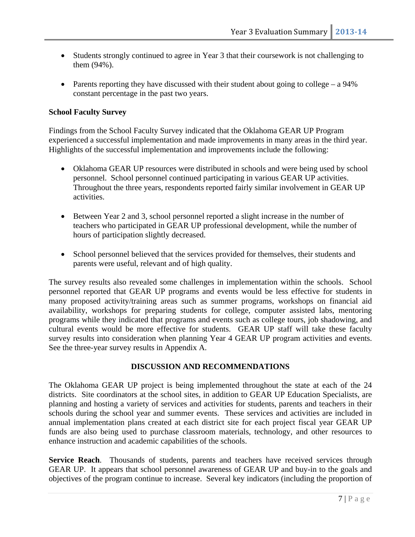- Students strongly continued to agree in Year 3 that their coursework is not challenging to them (94%).
- Parents reporting they have discussed with their student about going to college a  $94\%$ constant percentage in the past two years.

### **School Faculty Survey**

Findings from the School Faculty Survey indicated that the Oklahoma GEAR UP Program experienced a successful implementation and made improvements in many areas in the third year. Highlights of the successful implementation and improvements include the following:

- Oklahoma GEAR UP resources were distributed in schools and were being used by school personnel. School personnel continued participating in various GEAR UP activities. Throughout the three years, respondents reported fairly similar involvement in GEAR UP activities.
- Between Year 2 and 3, school personnel reported a slight increase in the number of teachers who participated in GEAR UP professional development, while the number of hours of participation slightly decreased.
- School personnel believed that the services provided for themselves, their students and parents were useful, relevant and of high quality.

The survey results also revealed some challenges in implementation within the schools. School personnel reported that GEAR UP programs and events would be less effective for students in many proposed activity/training areas such as summer programs, workshops on financial aid availability, workshops for preparing students for college, computer assisted labs, mentoring programs while they indicated that programs and events such as college tours, job shadowing, and cultural events would be more effective for students. GEAR UP staff will take these faculty survey results into consideration when planning Year 4 GEAR UP program activities and events. See the three-year survey results in Appendix A.

#### **DISCUSSION AND RECOMMENDATIONS**

The Oklahoma GEAR UP project is being implemented throughout the state at each of the 24 districts. Site coordinators at the school sites, in addition to GEAR UP Education Specialists, are planning and hosting a variety of services and activities for students, parents and teachers in their schools during the school year and summer events. These services and activities are included in annual implementation plans created at each district site for each project fiscal year GEAR UP funds are also being used to purchase classroom materials, technology, and other resources to enhance instruction and academic capabilities of the schools.

**Service Reach**. Thousands of students, parents and teachers have received services through GEAR UP. It appears that school personnel awareness of GEAR UP and buy-in to the goals and objectives of the program continue to increase. Several key indicators (including the proportion of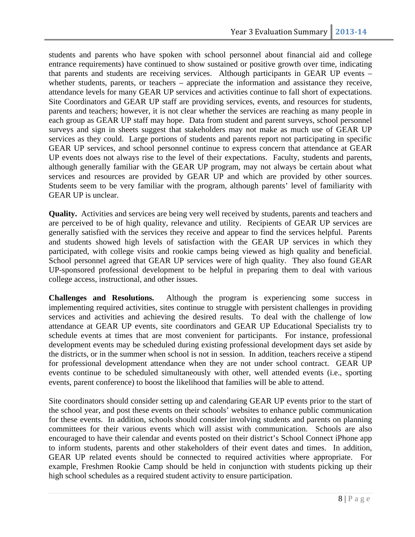students and parents who have spoken with school personnel about financial aid and college entrance requirements) have continued to show sustained or positive growth over time, indicating that parents and students are receiving services. Although participants in GEAR UP events – whether students, parents, or teachers – appreciate the information and assistance they receive, attendance levels for many GEAR UP services and activities continue to fall short of expectations. Site Coordinators and GEAR UP staff are providing services, events, and resources for students, parents and teachers; however, it is not clear whether the services are reaching as many people in each group as GEAR UP staff may hope. Data from student and parent surveys, school personnel surveys and sign in sheets suggest that stakeholders may not make as much use of GEAR UP services as they could. Large portions of students and parents report not participating in specific GEAR UP services, and school personnel continue to express concern that attendance at GEAR UP events does not always rise to the level of their expectations. Faculty, students and parents, although generally familiar with the GEAR UP program, may not always be certain about what services and resources are provided by GEAR UP and which are provided by other sources. Students seem to be very familiar with the program, although parents' level of familiarity with GEAR UP is unclear.

**Quality.** Activities and services are being very well received by students, parents and teachers and are perceived to be of high quality, relevance and utility. Recipients of GEAR UP services are generally satisfied with the services they receive and appear to find the services helpful. Parents and students showed high levels of satisfaction with the GEAR UP services in which they participated, with college visits and rookie camps being viewed as high quality and beneficial. School personnel agreed that GEAR UP services were of high quality. They also found GEAR UP-sponsored professional development to be helpful in preparing them to deal with various college access, instructional, and other issues.

**Challenges and Resolutions.** Although the program is experiencing some success in implementing required activities, sites continue to struggle with persistent challenges in providing services and activities and achieving the desired results. To deal with the challenge of low attendance at GEAR UP events, site coordinators and GEAR UP Educational Specialists try to schedule events at times that are most convenient for participants. For instance, professional development events may be scheduled during existing professional development days set aside by the districts, or in the summer when school is not in session. In addition, teachers receive a stipend for professional development attendance when they are not under school contract. GEAR UP events continue to be scheduled simultaneously with other, well attended events (i.e., sporting events, parent conference) to boost the likelihood that families will be able to attend.

Site coordinators should consider setting up and calendaring GEAR UP events prior to the start of the school year, and post these events on their schools' websites to enhance public communication for these events. In addition, schools should consider involving students and parents on planning committees for their various events which will assist with communication. Schools are also encouraged to have their calendar and events posted on their district's School Connect iPhone app to inform students, parents and other stakeholders of their event dates and times. In addition, GEAR UP related events should be connected to required activities where appropriate. For example, Freshmen Rookie Camp should be held in conjunction with students picking up their high school schedules as a required student activity to ensure participation.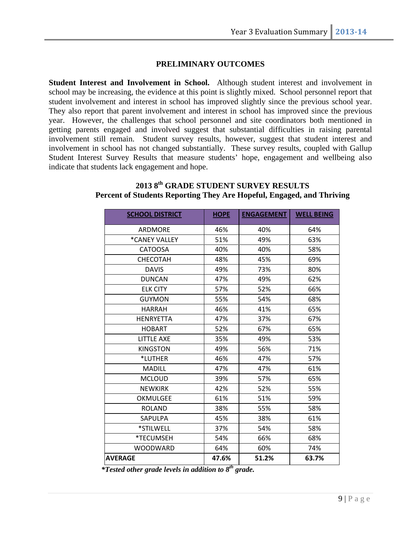### **PRELIMINARY OUTCOMES**

**Student Interest and Involvement in School.** Although student interest and involvement in school may be increasing, the evidence at this point is slightly mixed. School personnel report that student involvement and interest in school has improved slightly since the previous school year. They also report that parent involvement and interest in school has improved since the previous year. However, the challenges that school personnel and site coordinators both mentioned in getting parents engaged and involved suggest that substantial difficulties in raising parental involvement still remain. Student survey results, however, suggest that student interest and involvement in school has not changed substantially. These survey results, coupled with Gallup Student Interest Survey Results that measure students' hope, engagement and wellbeing also indicate that students lack engagement and hope.

| <b>SCHOOL DISTRICT</b> | <b>HOPE</b> | <b>ENGAGEMENT</b> | <b>WELL BEING</b> |
|------------------------|-------------|-------------------|-------------------|
| ARDMORE                | 46%         | 40%               | 64%               |
| *CANEY VALLEY          | 51%         | 49%               | 63%               |
| <b>CATOOSA</b>         | 40%         | 40%               | 58%               |
| <b>CHECOTAH</b>        | 48%         | 45%               | 69%               |
| <b>DAVIS</b>           | 49%         | 73%               | 80%               |
| <b>DUNCAN</b>          | 47%         | 49%               | 62%               |
| <b>ELK CITY</b>        | 57%         | 52%               | 66%               |
| <b>GUYMON</b>          | 55%         | 54%               | 68%               |
| <b>HARRAH</b>          | 46%         | 41%               | 65%               |
| <b>HENRYETTA</b>       | 47%         | 37%               | 67%               |
| <b>HOBART</b>          | 52%         | 67%               | 65%               |
| <b>LITTLE AXE</b>      | 35%         | 49%               | 53%               |
| <b>KINGSTON</b>        | 49%         | 56%               | 71%               |
| *LUTHER                | 46%         | 47%               | 57%               |
| <b>MADILL</b>          | 47%         | 47%               | 61%               |
| <b>MCLOUD</b>          | 39%         | 57%               | 65%               |
| <b>NEWKIRK</b>         | 42%         | 52%               | 55%               |
| <b>OKMULGEE</b>        | 61%         | 51%               | 59%               |
| <b>ROLAND</b>          | 38%         | 55%               | 58%               |
| SAPULPA                | 45%         | 38%               | 61%               |
| *STILWELL              | 37%         | 54%               | 58%               |
| *TECUMSEH              | 54%         | 66%               | 68%               |
| <b>WOODWARD</b>        | 64%         | 60%               | 74%               |
| <b>AVERAGE</b>         | 47.6%       | 51.2%             | 63.7%             |

# **2013 8th GRADE STUDENT SURVEY RESULTS Percent of Students Reporting They Are Hopeful, Engaged, and Thriving**

 *\*Tested other grade levels in addition to 8th grade.*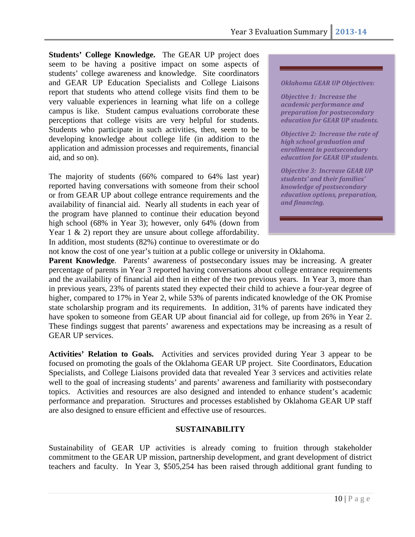**Students' College Knowledge.** The GEAR UP project does seem to be having a positive impact on some aspects of students' college awareness and knowledge. Site coordinators and GEAR UP Education Specialists and College Liaisons report that students who attend college visits find them to be very valuable experiences in learning what life on a college campus is like. Student campus evaluations corroborate these perceptions that college visits are very helpful for students. Students who participate in such activities, then, seem to be developing knowledge about college life (in addition to the application and admission processes and requirements, financial aid, and so on).

The majority of students (66% compared to 64% last year) reported having conversations with someone from their school or from GEAR UP about college entrance requirements and the availability of financial aid. Nearly all students in each year of the program have planned to continue their education beyond high school (68% in Year 3); however, only 64% (down from Year 1 & 2) report they are unsure about college affordability. In addition, most students (82%) continue to overestimate or do

#### *Oklahoma GEAR UP Objectives:*

*Objective 1: Increase the academic performance and preparation for postsecondary education for GEAR UP students.*

*Objective 2: Increase the rate of high school graduation and enrollment in postsecondary education for GEAR UP students.*

*Objective 3: Increase GEAR UP students' and their families' knowledge of postsecondary education options, preparation, and financing.* 

not know the cost of one year's tuition at a public college or university in Oklahoma.

**Parent Knowledge.** Parents' awareness of postsecondary issues may be increasing. A greater percentage of parents in Year 3 reported having conversations about college entrance requirements and the availability of financial aid then in either of the two previous years. In Year 3, more than in previous years, 23% of parents stated they expected their child to achieve a four-year degree of higher, compared to 17% in Year 2, while 53% of parents indicated knowledge of the OK Promise state scholarship program and its requirements. In addition, 31% of parents have indicated they have spoken to someone from GEAR UP about financial aid for college, up from 26% in Year 2. These findings suggest that parents' awareness and expectations may be increasing as a result of GEAR UP services.

**Activities' Relation to Goals.** Activities and services provided during Year 3 appear to be focused on promoting the goals of the Oklahoma GEAR UP project. Site Coordinators, Education Specialists, and College Liaisons provided data that revealed Year 3 services and activities relate well to the goal of increasing students' and parents' awareness and familiarity with postsecondary topics. Activities and resources are also designed and intended to enhance student's academic performance and preparation. Structures and processes established by Oklahoma GEAR UP staff are also designed to ensure efficient and effective use of resources.

#### **SUSTAINABILITY**

Sustainability of GEAR UP activities is already coming to fruition through stakeholder commitment to the GEAR UP mission, partnership development, and grant development of district teachers and faculty. In Year 3, \$505,254 has been raised through additional grant funding to